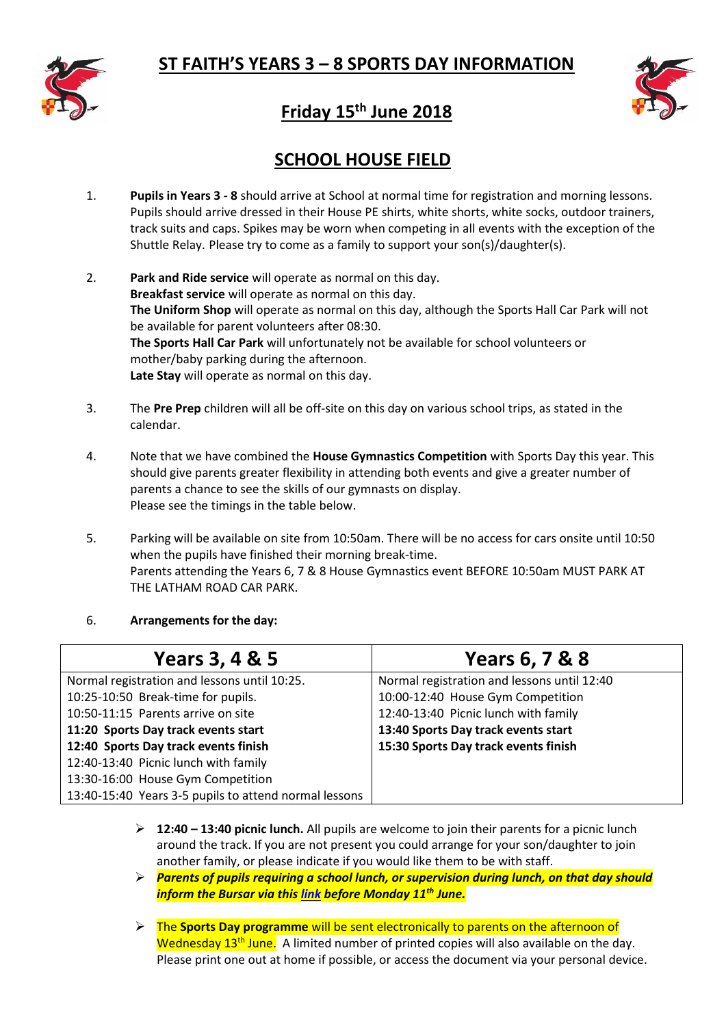



# **Friday 15th June 2018**

## **SCHOOL HOUSE FIELD**

- 1. **Pupils in Years 3 - 8** should arrive at School at normal time for registration and morning lessons. Pupils should arrive dressed in their House PE shirts, white shorts, white socks, outdoor trainers, track suits and caps. Spikes may be worn when competing in all events with the exception of the Shuttle Relay. Please try to come as a family to support your son(s)/daughter(s).
- 2. **Park and Ride service** will operate as normal on this day. **Breakfast service** will operate as normal on this day. **The Uniform Shop** will operate as normal on this day, although the Sports Hall Car Park will not be available for parent volunteers after 08:30. **The Sports Hall Car Park** will unfortunately not be available for school volunteers or mother/baby parking during the afternoon. **Late Stay** will operate as normal on this day.
- 3. The **Pre Prep** children will all be off-site on this day on various school trips, as stated in the calendar.
- 4. Note that we have combined the **House Gymnastics Competition** with Sports Day this year. This should give parents greater flexibility in attending both events and give a greater number of parents a chance to see the skills of our gymnasts on display. Please see the timings in the table below.
- 5. Parking will be available on site from 10:50am. There will be no access for cars onsite until 10:50 when the pupils have finished their morning break-time. Parents attending the Years 6, 7 & 8 House Gymnastics event BEFORE 10:50am MUST PARK AT THE LATHAM ROAD CAR PARK.

## 6. **Arrangements for the day:**

| Years 3, 4 & 5                                        | Years 6, 7 & 8                              |
|-------------------------------------------------------|---------------------------------------------|
| Normal registration and lessons until 10:25.          | Normal registration and lessons until 12:40 |
| 10:25-10:50 Break-time for pupils.                    | 10:00-12:40 House Gym Competition           |
| 10:50-11:15 Parents arrive on site                    | 12:40-13:40 Picnic lunch with family        |
| 11:20 Sports Day track events start                   | 13:40 Sports Day track events start         |
| 12:40 Sports Day track events finish                  | 15:30 Sports Day track events finish        |
| 12:40-13:40 Picnic lunch with family                  |                                             |
| 13:30-16:00 House Gym Competition                     |                                             |
| 13:40-15:40 Years 3-5 pupils to attend normal lessons |                                             |

- **12:40 – 13:40 picnic lunch.** All pupils are welcome to join their parents for a picnic lunch around the track. If you are not present you could arrange for your son/daughter to join another family, or please indicate if you would like them to be with staff.
- *Parents of pupils requiring a school lunch, or supervision during lunch, on that day should inform the Bursar via this [link](https://form.jotformeu.com/81202453924350) before Monday 11th June.*
- The **Sports Day programme** will be sent electronically to parents on the afternoon of Wednesday 13<sup>th</sup> June. A limited number of printed copies will also available on the day. Please print one out at home if possible, or access the document via your personal device.